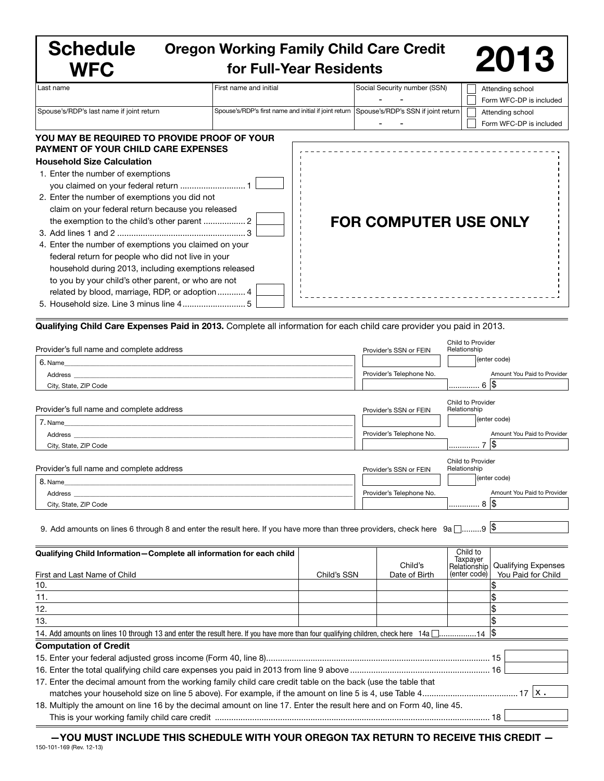| <b>Schedule</b><br><b>WFC</b>                                                                                                                                                                                                                                                                                                                                                                                                                                                                            | <b>Oregon Working Family Child Care Credit</b><br>for Full-Year Residents                |                              | 2013                                        |  |
|----------------------------------------------------------------------------------------------------------------------------------------------------------------------------------------------------------------------------------------------------------------------------------------------------------------------------------------------------------------------------------------------------------------------------------------------------------------------------------------------------------|------------------------------------------------------------------------------------------|------------------------------|---------------------------------------------|--|
| Last name                                                                                                                                                                                                                                                                                                                                                                                                                                                                                                | First name and initial                                                                   | Social Security number (SSN) | Attending school<br>Form WFC-DP is included |  |
| Spouse's/RDP's last name if joint return                                                                                                                                                                                                                                                                                                                                                                                                                                                                 | Spouse's/RDP's first name and initial if joint return Spouse's/RDP's SSN if joint return |                              | Attending school<br>Form WFC-DP is included |  |
| YOU MAY BE REQUIRED TO PROVIDE PROOF OF YOUR<br><b>PAYMENT OF YOUR CHILD CARE EXPENSES</b><br><b>Household Size Calculation</b><br>1. Enter the number of exemptions<br>2. Enter the number of exemptions you did not<br>claim on your federal return because you released<br>4. Enter the number of exemptions you claimed on your<br>federal return for people who did not live in your<br>household during 2013, including exemptions released<br>to you by your child's other parent, or who are not |                                                                                          | <b>FOR COMPUTER USE ONLY</b> |                                             |  |

| Provider's full name and complete address                                                                                                                                                                                                                                                                                                               |             | Provider's SSN or FEIN   | Child to Provider<br>Relationship |                             |
|---------------------------------------------------------------------------------------------------------------------------------------------------------------------------------------------------------------------------------------------------------------------------------------------------------------------------------------------------------|-------------|--------------------------|-----------------------------------|-----------------------------|
| 6. Name<br><u> 1989 - Jan James James Barnett, fransk politik (d. 1989)</u>                                                                                                                                                                                                                                                                             |             |                          |                                   | (enter code)                |
| Address and the contract of the contract of the contract of the contract of the contract of the contract of the contract of the contract of the contract of the contract of the contract of the contract of the contract of th                                                                                                                          |             | Provider's Telephone No. |                                   | Amount You Paid to Provider |
| City, State, ZIP Code                                                                                                                                                                                                                                                                                                                                   |             |                          | 6  \$                             |                             |
|                                                                                                                                                                                                                                                                                                                                                         |             |                          |                                   |                             |
| Provider's full name and complete address                                                                                                                                                                                                                                                                                                               |             | Provider's SSN or FEIN   | Child to Provider<br>Relationship |                             |
| 7. Name_                                                                                                                                                                                                                                                                                                                                                |             |                          |                                   | (enter code)                |
| <u> 1989 - Johann Stein, fransk politik (f. 1989)</u>                                                                                                                                                                                                                                                                                                   |             | Provider's Telephone No. |                                   | Amount You Paid to Provider |
| Address and the contract of the contract of the contract of the contract of the contract of the contract of the contract of the contract of the contract of the contract of the contract of the contract of the contract of th<br>City, State, ZIP Code                                                                                                 |             |                          | <u></u> 7  \$                     |                             |
|                                                                                                                                                                                                                                                                                                                                                         |             |                          |                                   |                             |
| Provider's full name and complete address                                                                                                                                                                                                                                                                                                               |             | Provider's SSN or FEIN   | Child to Provider<br>Relationship |                             |
| 8. Name                                                                                                                                                                                                                                                                                                                                                 |             |                          |                                   | (enter code)                |
| <u> 1980 - Johann Stoff, deutscher Stoff, der Stoff, der Stoff, der Stoff, der Stoff, der Stoff, der Stoff, der S</u><br>Address and the contract of the contract of the contract of the contract of the contract of the contract of the contract of the contract of the contract of the contract of the contract of the contract of the contract of th |             | Provider's Telephone No. |                                   | Amount You Paid to Provider |
| City, State, ZIP Code                                                                                                                                                                                                                                                                                                                                   |             |                          | '8  \$                            |                             |
|                                                                                                                                                                                                                                                                                                                                                         |             |                          |                                   |                             |
| 9. Add amounts on lines 6 through 8 and enter the result here. If you have more than three providers, check here $9a$ $\Box$ 9 $\frac{18}{9}$                                                                                                                                                                                                           |             |                          |                                   |                             |
|                                                                                                                                                                                                                                                                                                                                                         |             |                          |                                   |                             |
| Qualifying Child Information-Complete all information for each child                                                                                                                                                                                                                                                                                    |             |                          | Child to                          |                             |
|                                                                                                                                                                                                                                                                                                                                                         |             | Child's                  | Taxpayer<br>Relationship          | <b>Qualifying Expenses</b>  |
| First and Last Name of Child                                                                                                                                                                                                                                                                                                                            | Child's SSN | Date of Birth            | (enter code)                      | You Paid for Child          |
| 10.                                                                                                                                                                                                                                                                                                                                                     |             |                          |                                   |                             |
| 11.                                                                                                                                                                                                                                                                                                                                                     |             |                          |                                   |                             |
| 12.                                                                                                                                                                                                                                                                                                                                                     |             |                          |                                   | 1\$                         |
| 13.                                                                                                                                                                                                                                                                                                                                                     |             |                          |                                   |                             |
| 14. Add amounts on lines 10 through 13 and enter the result here. If you have more than four qualifying children, check here 14a $\square$ 14 \$                                                                                                                                                                                                        |             |                          |                                   |                             |
| <b>Computation of Credit</b>                                                                                                                                                                                                                                                                                                                            |             |                          |                                   |                             |
|                                                                                                                                                                                                                                                                                                                                                         |             |                          |                                   |                             |
|                                                                                                                                                                                                                                                                                                                                                         |             |                          |                                   |                             |
| 17. Enter the decimal amount from the working family child care credit table on the back (use the table that                                                                                                                                                                                                                                            |             |                          |                                   |                             |
|                                                                                                                                                                                                                                                                                                                                                         |             |                          |                                   |                             |
| 18. Multiply the amount on line 16 by the decimal amount on line 17. Enter the result here and on Form 40, line 45.                                                                                                                                                                                                                                     |             |                          |                                   |                             |
|                                                                                                                                                                                                                                                                                                                                                         |             |                          |                                   |                             |

—YOU MUST INCLUDE THIS SCHEDULE WITH YOUR OREGON TAX RETURN TO RECEIVE THIS CREDIT — 150-101-169 (Rev. 12-13)

 $\equiv$   $\equiv$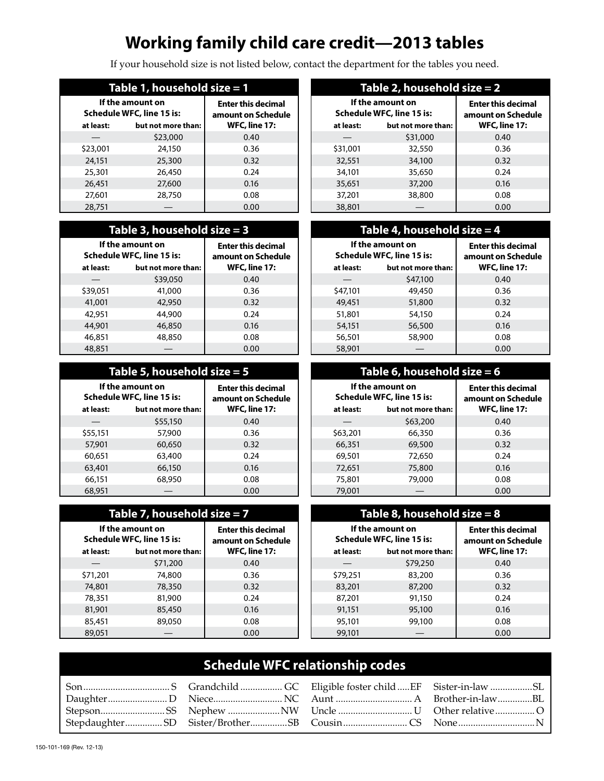# **Working family child care credit—2013 tables**

If your household size is not listed below, contact the department for the tables you need.

| Table 1, household size = 1                   |                    |                                                 |  |
|-----------------------------------------------|--------------------|-------------------------------------------------|--|
| If the amount on<br>Schedule WFC, line 15 is: |                    | <b>Enter this decimal</b><br>amount on Schedule |  |
| at least:                                     | but not more than: | <b>WFC, line 17:</b>                            |  |
|                                               | \$23,000           | 0.40                                            |  |
| \$23,001                                      | 24,150             | 0.36                                            |  |
| 24,151                                        | 25,300             | 0.32                                            |  |
| 25,301                                        | 26,450             | 0.24                                            |  |
| 26,451                                        | 27,600             | 0.16                                            |  |
| 27,601                                        | 28,750             | 0.08                                            |  |
| 28,751                                        |                    | 0.00                                            |  |

### **Table 3, household size = 3**

| If the amount on<br>Schedule WFC, line 15 is: |                    | <b>Enter this decimal</b><br>amount on Schedule |
|-----------------------------------------------|--------------------|-------------------------------------------------|
| at least:                                     | but not more than: | <b>WFC, line 17:</b>                            |
|                                               | \$39,050           | 0.40                                            |
| \$39,051                                      | 41,000             | 0.36                                            |
| 41,001                                        | 42,950             | 0.32                                            |
| 42,951                                        | 44,900             | 0.24                                            |
| 44,901                                        | 46,850             | 0.16                                            |
| 46,851                                        | 48,850             | 0.08                                            |
| 48,851                                        |                    | 0.00                                            |

### **Table 5, household size = 5**

| If the amount on<br>Schedule WFC, line 15 is:<br>but not more than:<br>at least: |          | <b>Enter this decimal</b><br>amount on Schedule<br><b>WFC, line 17:</b> |  |
|----------------------------------------------------------------------------------|----------|-------------------------------------------------------------------------|--|
|                                                                                  | \$55,150 | 0.40                                                                    |  |
| \$55,151                                                                         | 57,900   | 0.36                                                                    |  |
| 57,901                                                                           | 60,650   | 0.32                                                                    |  |
| 60.651                                                                           | 63,400   | 0.24                                                                    |  |
| 63,401                                                                           | 66,150   | 0.16                                                                    |  |
| 66,151                                                                           | 68,950   | 0.08                                                                    |  |
| 68,951                                                                           |          | 0.00                                                                    |  |

### **Table 7, household size = 7**

| If the amount on<br>Schedule WFC, line 15 is:<br>but not more than:<br>at least: |          | <b>Enter this decimal</b><br>amount on Schedule<br><b>WFC, line 17:</b> |
|----------------------------------------------------------------------------------|----------|-------------------------------------------------------------------------|
|                                                                                  | \$71,200 | 0.40                                                                    |
| \$71,201                                                                         | 74,800   | 0.36                                                                    |
| 74,801                                                                           | 78,350   | 0.32                                                                    |
| 78,351                                                                           | 81,900   | 0.24                                                                    |
| 81,901                                                                           | 85,450   | 0.16                                                                    |
| 85,451                                                                           | 89,050   | 0.08                                                                    |
| 89.051                                                                           |          | 0.00                                                                    |

| Table 2, household s <u>ize = 2</u>           |                    |                                                 |  |
|-----------------------------------------------|--------------------|-------------------------------------------------|--|
| If the amount on<br>Schedule WFC, line 15 is: |                    | <b>Enter this decimal</b><br>amount on Schedule |  |
| at least:                                     | but not more than: | <b>WFC, line 17:</b>                            |  |
|                                               | \$31,000           | 0.40                                            |  |
| \$31,001                                      | 32,550             | 0.36                                            |  |
| 32,551                                        | 34,100             | 0.32                                            |  |
| 34,101                                        | 35,650             | 0.24                                            |  |
| 35,651                                        | 37,200             | 0.16                                            |  |
| 37,201                                        | 38,800             | 0.08                                            |  |
| 38,801                                        |                    | 0.00                                            |  |

#### **Table 4, household size = 4 If the amount on Schedule WFC, line 15 is: Enter this decimal amount on Schedule at least: but not more than: WFC, line 17:**  $$47,100$  0.40 \$47,101 49,450 0.36 49,451 51,800 0.32 51,801 54,150 0.24 54,151 56,500 0.16 56,501 58,900 0.08  $58,901$  — 0.00

#### **Table 6, household size = 6 If the amount on Schedule WFC, line 15 is: Enter this decimal amount on Schedule at least: but not more than: WFC, line 17:**  $-$  \$63,200 0.40 \$63,201 66,350 0.36 66,351 69,500 0.32 69,501 72,650 0.24 72,651 75,800 0.16 75,801 79,000 0.08  $79,001$  —  $\qquad$  0.00

| Table 8, household size $= 8$                 |                    |                                                 |  |
|-----------------------------------------------|--------------------|-------------------------------------------------|--|
| If the amount on<br>Schedule WFC, line 15 is: |                    | <b>Enter this decimal</b><br>amount on Schedule |  |
| at least:                                     | but not more than: | <b>WFC, line 17:</b>                            |  |
|                                               | \$79,250           | 0.40                                            |  |
| \$79,251                                      | 83,200             | 0.36                                            |  |
| 83,201                                        | 87,200             | 0.32                                            |  |
| 87,201                                        | 91,150             | 0.24                                            |  |
| 91,151                                        | 95,100             | 0.16                                            |  |
| 95,101                                        | 99,100             | 0.08                                            |  |
| 99,101                                        |                    | 0.00                                            |  |

# **Schedule WFC relationship codes**

| StepsonSS Nephew NW Uncle U Other relative O |  |
|----------------------------------------------|--|
|                                              |  |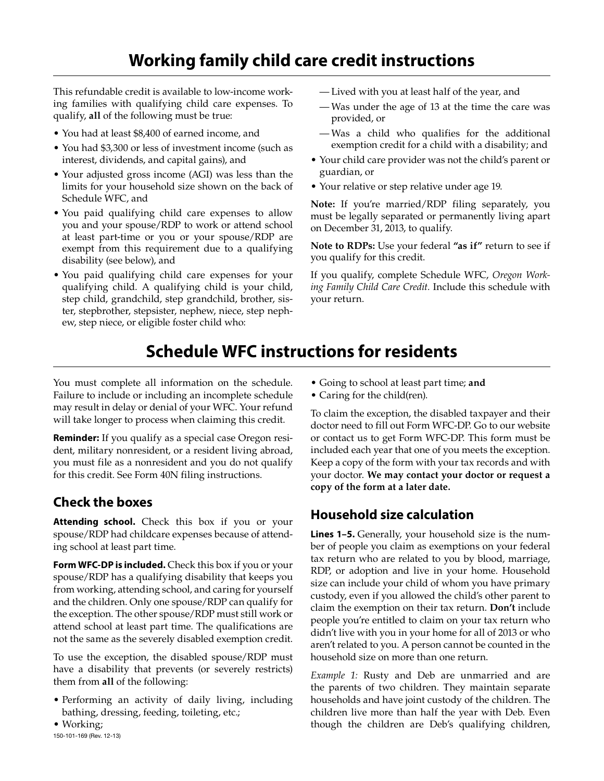# **Working family child care credit instructions**

This refundable credit is available to low-income working families with qualifying child care expenses. To qualify, **all** of the following must be true:

- You had at least \$8,400 of earned income, and
- You had \$3,300 or less of investment income (such as interest, dividends, and capital gains), and
- Your adjusted gross income (AGI) was less than the limits for your household size shown on the back of Schedule WFC, and
- You paid qualifying child care expenses to allow you and your spouse/RDP to work or attend school at least part-time or you or your spouse/RDP are exempt from this requirement due to a qualifying disability (see below), and
- You paid qualifying child care expenses for your qualifying child. A qualifying child is your child, step child, grandchild, step grandchild, brother, sister, stepbrother, stepsister, nephew, niece, step nephew, step niece, or eligible foster child who:
- Lived with you at least half of the year, and
- Was under the age of 13 at the time the care was provided, or
- Was a child who qualifies for the additional exemption credit for a child with a disability; and
- Your child care provider was not the child's parent or guardian, or
- Your relative or step relative under age 19.

**Note:** If you're married/RDP filing separately, you must be legally separated or permanently living apart on December 31, 2013, to qualify.

**Note to RDPs:** Use your federal **"as if"** return to see if you qualify for this credit.

If you qualify, complete Schedule WFC, *Oregon Working Family Child Care Credit.* Include this schedule with your return.

# **Schedule WFC instructions for residents**

You must complete all information on the schedule. Failure to include or including an incomplete schedule may result in delay or denial of your WFC. Your refund will take longer to process when claiming this credit.

**Reminder:** If you qualify as a special case Oregon resident, military nonresident, or a resident living abroad, you must file as a nonresident and you do not qualify for this credit. See Form 40N filing instructions.

# **Check the boxes**

**Attending school.** Check this box if you or your spouse/RDP had childcare expenses because of attending school at least part time.

**Form WFC-DP is included.** Check this box if you or your spouse/RDP has a qualifying disability that keeps you from working, attending school, and caring for yourself and the children. Only one spouse/RDP can qualify for the exception. The other spouse/RDP must still work or attend school at least part time. The qualifications are not the same as the severely disabled exemption credit.

To use the exception, the disabled spouse/RDP must have a disability that prevents (or severely restricts) them from **all** of the following:

• Performing an activity of daily living, including bathing, dressing, feeding, toileting, etc.;

• Working; 150-101-169 (Rev. 12-13)

- Going to school at least part time; **and**
- Caring for the child(ren).

To claim the exception, the disabled taxpayer and their doctor need to fill out Form WFC-DP. Go to our website or contact us to get Form WFC-DP. This form must be included each year that one of you meets the exception. Keep a copy of the form with your tax records and with your doctor. **We may contact your doctor or request a copy of the form at a later date.**

## **Household size calculation**

**Lines 1–5.** Generally, your household size is the number of people you claim as exemptions on your federal tax return who are related to you by blood, marriage, RDP, or adoption and live in your home. Household size can include your child of whom you have primary custody, even if you allowed the child's other parent to claim the exemption on their tax return. **Don't** include people you're entitled to claim on your tax return who didn't live with you in your home for all of 2013 or who aren't related to you. A person cannot be counted in the household size on more than one return.

*Example 1:* Rusty and Deb are unmarried and are the parents of two children. They maintain separate households and have joint custody of the children. The children live more than half the year with Deb. Even though the children are Deb's qualifying children,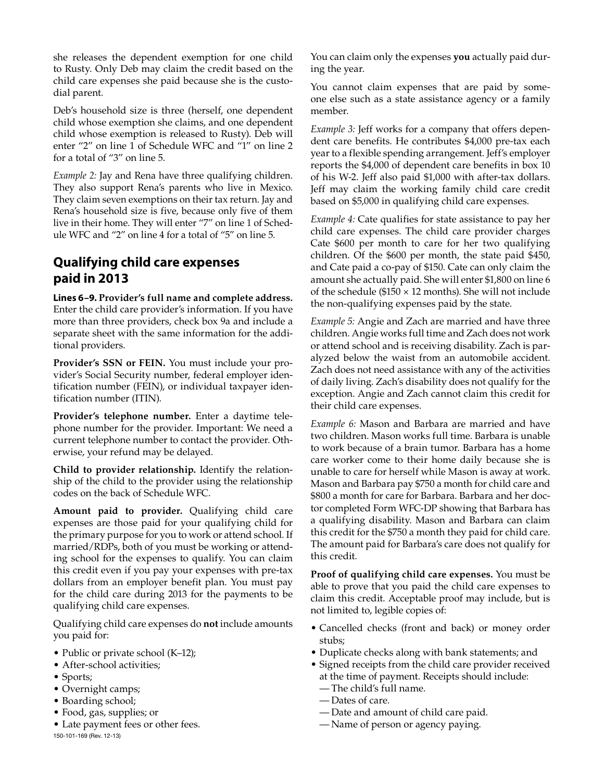she releases the dependent exemption for one child to Rusty. Only Deb may claim the credit based on the child care expenses she paid because she is the custodial parent.

Deb's household size is three (herself, one dependent child whose exemption she claims, and one dependent child whose exemption is released to Rusty). Deb will enter "2" on line 1 of Schedule WFC and "1" on line 2 for a total of "3" on line 5.

*Example 2:* Jay and Rena have three qualifying children. They also support Rena's parents who live in Mexico. They claim seven exemptions on their tax return. Jay and Rena's household size is five, because only five of them live in their home. They will enter "7" on line 1 of Schedule WFC and "2" on line 4 for a total of "5" on line 5.

# **Qualifying child care expenses paid in 2013**

**Lines 6–9. Provider's full name and complete address.**  Enter the child care provider's information. If you have more than three providers, check box 9a and include a separate sheet with the same information for the additional providers.

**Provider's SSN or FEIN.** You must include your provider's Social Security number, federal employer identification number (FEIN), or individual taxpayer identification number (ITIN).

**Provider's telephone number.** Enter a daytime telephone number for the provider. Important: We need a current telephone number to contact the provider. Otherwise, your refund may be delayed.

**Child to provider relationship.** Identify the relationship of the child to the provider using the relationship codes on the back of Schedule WFC.

**Amount paid to provider.** Qualifying child care expenses are those paid for your qualifying child for the primary purpose for you to work or attend school. If married/RDPs, both of you must be working or attending school for the expenses to qualify. You can claim this credit even if you pay your expenses with pre-tax dollars from an employer benefit plan. You must pay for the child care during 2013 for the payments to be qualifying child care expenses.

Qualifying child care expenses do **not** include amounts you paid for:

- Public or private school (K–12);
- After-school activities;
- Sports;
- Overnight camps;
- Boarding school;
- Food, gas, supplies; or
- Late payment fees or other fees. 150-101-169 (Rev. 12-13)

You can claim only the expenses **you** actually paid during the year.

You cannot claim expenses that are paid by someone else such as a state assistance agency or a family member.

*Example 3:* Jeff works for a company that offers dependent care benefits. He contributes \$4,000 pre-tax each year to a flexible spending arrangement. Jeff's employer reports the \$4,000 of dependent care benefits in box 10 of his W-2. Jeff also paid \$1,000 with after-tax dollars. Jeff may claim the working family child care credit based on \$5,000 in qualifying child care expenses.

*Example 4:* Cate qualifies for state assistance to pay her child care expenses. The child care provider charges Cate \$600 per month to care for her two qualifying children. Of the \$600 per month, the state paid \$450, and Cate paid a co-pay of \$150. Cate can only claim the amount she actually paid. She will enter \$1,800 on line 6 of the schedule ( $$150 \times 12$  months). She will not include the non-qualifying expenses paid by the state.

*Example 5:* Angie and Zach are married and have three children. Angie works full time and Zach does not work or attend school and is receiving disability. Zach is paralyzed below the waist from an automobile accident. Zach does not need assistance with any of the activities of daily living. Zach's disability does not qualify for the exception. Angie and Zach cannot claim this credit for their child care expenses.

*Example 6:* Mason and Barbara are married and have two children. Mason works full time. Barbara is unable to work because of a brain tumor. Barbara has a home care worker come to their home daily because she is unable to care for herself while Mason is away at work. Mason and Barbara pay \$750 a month for child care and \$800 a month for care for Barbara. Barbara and her doctor completed Form WFC-DP showing that Barbara has a qualifying disability. Mason and Barbara can claim this credit for the \$750 a month they paid for child care. The amount paid for Barbara's care does not qualify for this credit.

**Proof of qualifying child care expenses.** You must be able to prove that you paid the child care expenses to claim this credit. Acceptable proof may include, but is not limited to, legible copies of:

- Cancelled checks (front and back) or money order stubs;
- Duplicate checks along with bank statements; and
- Signed receipts from the child care provider received at the time of payment. Receipts should include:
	- The child's full name.
	- Dates of care.
	- Date and amount of child care paid.
	- Name of person or agency paying.